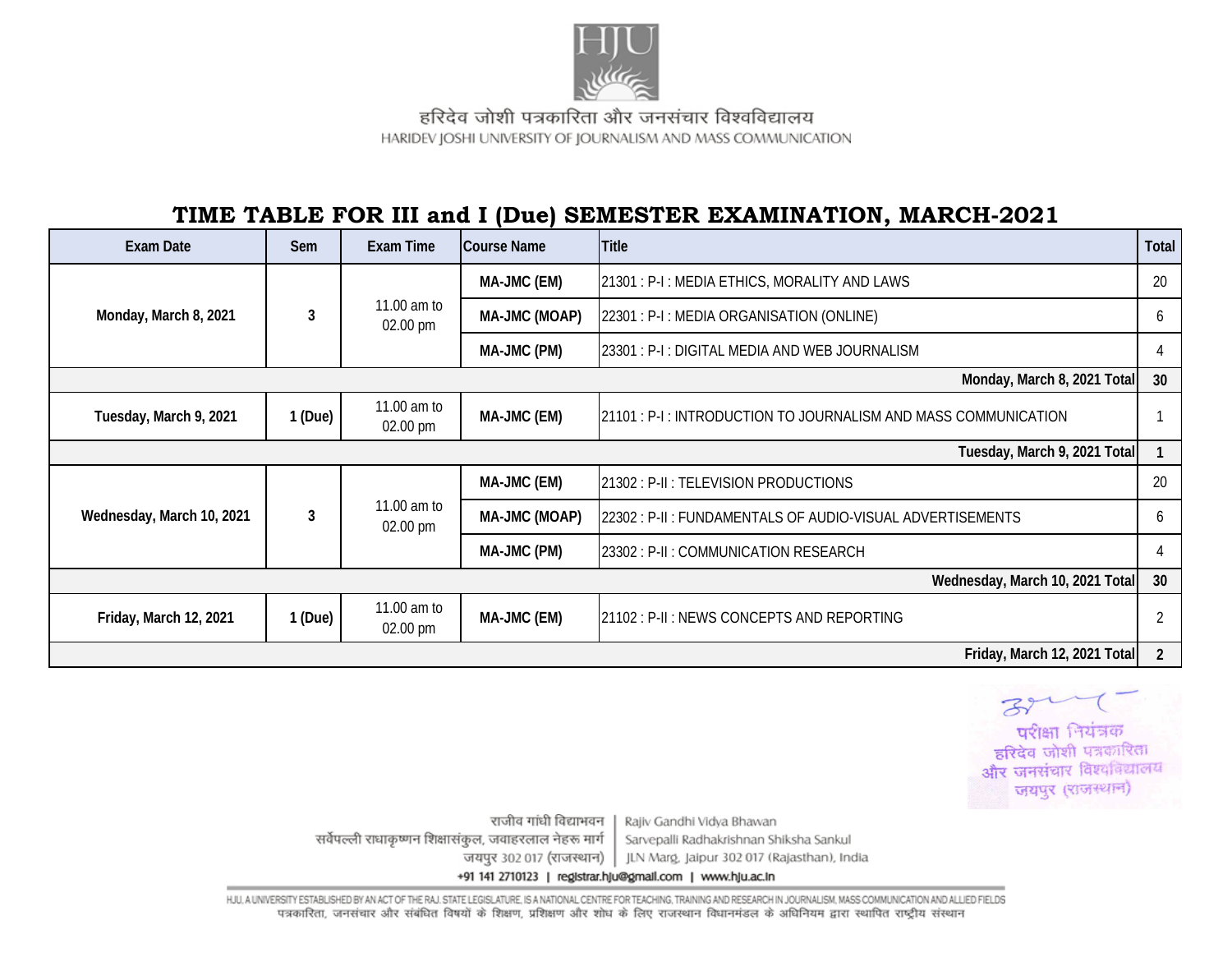

हरिदेव जोशी पत्रकारिता और जनसंचार विश्वविद्यालय HARIDEV JOSHI UNIVERSITY OF JOURNALISM AND MASS COMMUNICATION

## **TIME TABLE FOR III and I (Due) SEMESTER EXAMINATION, MARCH-2021**

| <b>Exam Date</b>                | Sem                          | <b>Exam Time</b>                  | <b>Course Name</b> | <b>Title</b>                                                    | Total |  |  |
|---------------------------------|------------------------------|-----------------------------------|--------------------|-----------------------------------------------------------------|-------|--|--|
| Monday, March 8, 2021           | 3                            | 11.00 am to<br>02.00 pm           | MA-JMC (EM)        | 21301 : P-I : MEDIA ETHICS, MORALITY AND LAWS                   | 20    |  |  |
|                                 |                              |                                   | MA-JMC (MOAP)      | 22301 : P-I : MEDIA ORGANISATION (ONLINE)                       | 6     |  |  |
|                                 |                              |                                   | MA-JMC (PM)        | 23301 : P-I : DIGITAL MEDIA AND WEB JOURNALISM                  |       |  |  |
| Monday, March 8, 2021 Total     |                              |                                   |                    |                                                                 |       |  |  |
| Tuesday, March 9, 2021          | 1(Due)                       | 11.00 am to<br>$02.00 \text{ pm}$ | MA-JMC (EM)        | 21101 : P-I : INTRODUCTION TO JOURNALISM AND MASS COMMUNICATION |       |  |  |
|                                 | Tuesday, March 9, 2021 Total |                                   |                    |                                                                 |       |  |  |
| Wednesday, March 10, 2021       | 3                            | 11.00 am to<br>02.00 pm           | MA-JMC (EM)        | 21302 : P-II : TELEVISION PRODUCTIONS                           | 20    |  |  |
|                                 |                              |                                   | MA-JMC (MOAP)      | 22302 : P-II : FUNDAMENTALS OF AUDIO-VISUAL ADVERTISEMENTS      | h.    |  |  |
|                                 |                              |                                   | MA-JMC (PM)        | 23302 : P-II : COMMUNICATION RESEARCH                           |       |  |  |
| Wednesday, March 10, 2021 Total |                              |                                   |                    |                                                                 |       |  |  |
| Friday, March 12, 2021          | 1(Due)                       | 11.00 am to<br>02.00 pm           | MA-JMC (EM)        | 21102 : P-II : NEWS CONCEPTS AND REPORTING                      |       |  |  |
| Friday, March 12, 2021 Total    |                              |                                   |                    |                                                                 |       |  |  |



राजीव गांधी विद्याभवन Rajiv Gandhi Vidya Bhawan सर्वेपल्ली राधाकृष्णन शिक्षासंकुल, जवाहरलाल नेहरू मार्ग Sarvepalli Radhakrishnan Shiksha Sankul जयपुर 302 017 (राजस्थान) | JLN Marg, Jaipur 302 017 (Rajasthan), India +91 141 2710123 | registrar.hju@gmail.com | www.hju.ac.in

HJU, A UNIVERSITY ESTABLISHED BY AN ACT OF THE RAJ. STATE LEGISLATURE, IS A NATIONAL CENTRE FOR TEACHING, TRAINING AND RESEARCH IN JOURNALISM, MASS COMMUNICATION AND ALLIED FIELDS पत्रकारिता, जनसंचार और संबंधित विषयों के शिक्षण, प्रशिक्षण और शोध के लिए राजस्थान विधानमंडल के अधिनियम द्वारा स्थापित राष्ट्रीय संस्थान